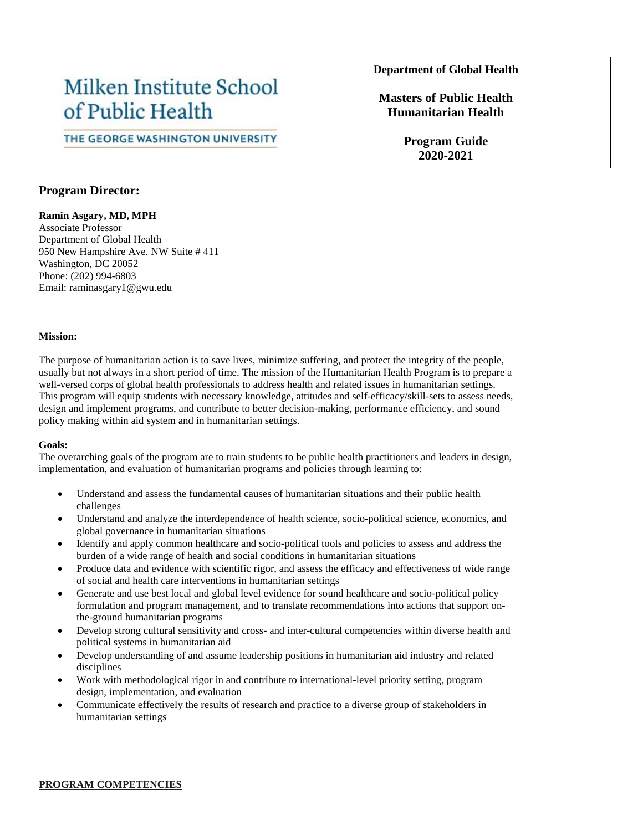## Milken Institute School of Public Health

#### THE GEORGE WASHINGTON UNIVERSITY

#### **Department of Global Health**

**Masters of Public Health Humanitarian Health**

> **Program Guide 2020-2021**

#### **Program Director:**

#### **Ramin Asgary, MD, MPH**

Associate Professor Department of Global Health 950 New Hampshire Ave. NW Suite # 411 Washington, DC 20052 Phone: (202) 994-6803 Email: raminasgary1@gwu.edu

#### **Mission:**

The purpose of humanitarian action is to save lives, minimize suffering, and protect the integrity of the people, usually but not always in a short period of time. The mission of the Humanitarian Health Program is to prepare a well-versed corps of global health professionals to address health and related issues in humanitarian settings. This program will equip students with necessary knowledge, attitudes and self-efficacy/skill-sets to assess needs, design and implement programs, and contribute to better decision-making, performance efficiency, and sound policy making within aid system and in humanitarian settings.

#### **Goals:**

The overarching goals of the program are to train students to be public health practitioners and leaders in design, implementation, and evaluation of humanitarian programs and policies through learning to:

- Understand and assess the fundamental causes of humanitarian situations and their public health challenges
- Understand and analyze the interdependence of health science, socio-political science, economics, and global governance in humanitarian situations
- Identify and apply common healthcare and socio-political tools and policies to assess and address the burden of a wide range of health and social conditions in humanitarian situations
- Produce data and evidence with scientific rigor, and assess the efficacy and effectiveness of wide range of social and health care interventions in humanitarian settings
- Generate and use best local and global level evidence for sound healthcare and socio-political policy formulation and program management, and to translate recommendations into actions that support onthe-ground humanitarian programs
- Develop strong cultural sensitivity and cross- and inter-cultural competencies within diverse health and political systems in humanitarian aid
- Develop understanding of and assume leadership positions in humanitarian aid industry and related disciplines
- Work with methodological rigor in and contribute to international-level priority setting, program design, implementation, and evaluation
- Communicate effectively the results of research and practice to a diverse group of stakeholders in humanitarian settings

#### **PROGRAM COMPETENCIES**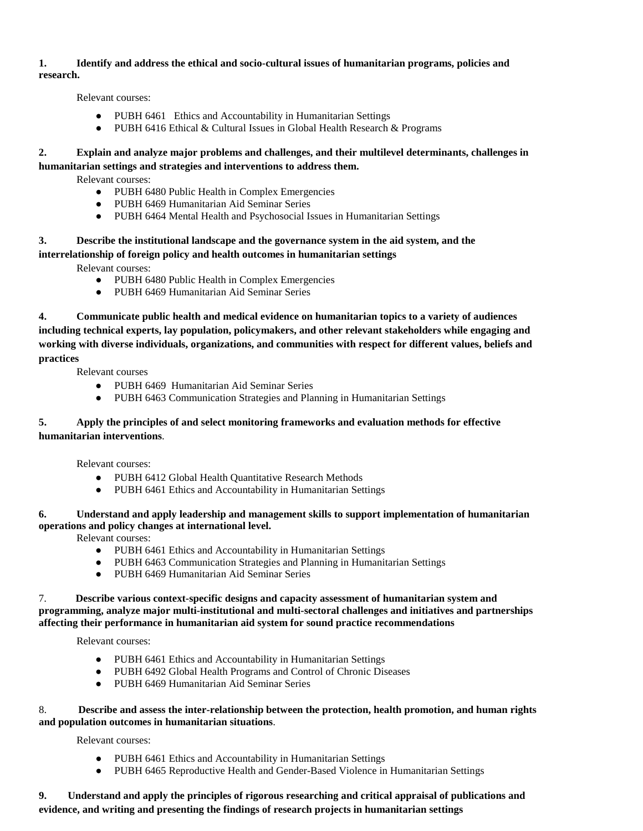#### **1. Identify and address the ethical and socio-cultural issues of humanitarian programs, policies and research.**

Relevant courses:

- PUBH 6461 Ethics and Accountability in Humanitarian Settings
- PUBH 6416 Ethical & Cultural Issues in Global Health Research & Programs

#### **2. Explain and analyze major problems and challenges, and their multilevel determinants, challenges in humanitarian settings and strategies and interventions to address them.**

Relevant courses:

- PUBH 6480 Public Health in Complex Emergencies
- PUBH 6469 Humanitarian Aid Seminar Series
- PUBH 6464 Mental Health and Psychosocial Issues in Humanitarian Settings

### **3. Describe the institutional landscape and the governance system in the aid system, and the**

**interrelationship of foreign policy and health outcomes in humanitarian settings** 

Relevant courses:

- PUBH 6480 Public Health in Complex Emergencies
- PUBH 6469 Humanitarian Aid Seminar Series

**4. Communicate public health and medical evidence on humanitarian topics to a variety of audiences including technical experts, lay population, policymakers, and other relevant stakeholders while engaging and working with diverse individuals, organizations, and communities with respect for different values, beliefs and practices** 

Relevant courses

- PUBH 6469 Humanitarian Aid Seminar Series
- PUBH 6463 Communication Strategies and Planning in Humanitarian Settings

#### **5. Apply the principles of and select monitoring frameworks and evaluation methods for effective humanitarian interventions**.

Relevant courses:

- PUBH 6412 Global Health Quantitative Research Methods
- PUBH 6461 Ethics and Accountability in Humanitarian Settings

#### **6. Understand and apply leadership and management skills to support implementation of humanitarian operations and policy changes at international level.**

Relevant courses:

- PUBH 6461 Ethics and Accountability in Humanitarian Settings
- PUBH 6463 Communication Strategies and Planning in Humanitarian Settings
- PUBH 6469 Humanitarian Aid Seminar Series

#### 7. **Describe various context-specific designs and capacity assessment of humanitarian system and programming, analyze major multi-institutional and multi-sectoral challenges and initiatives and partnerships affecting their performance in humanitarian aid system for sound practice recommendations**

Relevant courses:

- PUBH 6461 Ethics and Accountability in Humanitarian Settings
- PUBH 6492 Global Health Programs and Control of Chronic Diseases
- PUBH 6469 Humanitarian Aid Seminar Series

#### 8. **Describe and assess the inter-relationship between the protection, health promotion, and human rights and population outcomes in humanitarian situations**.

Relevant courses:

- PUBH 6461 Ethics and Accountability in Humanitarian Settings
- PUBH 6465 Reproductive Health and Gender-Based Violence in Humanitarian Settings

#### **9. Understand and apply the principles of rigorous researching and critical appraisal of publications and evidence, and writing and presenting the findings of research projects in humanitarian settings**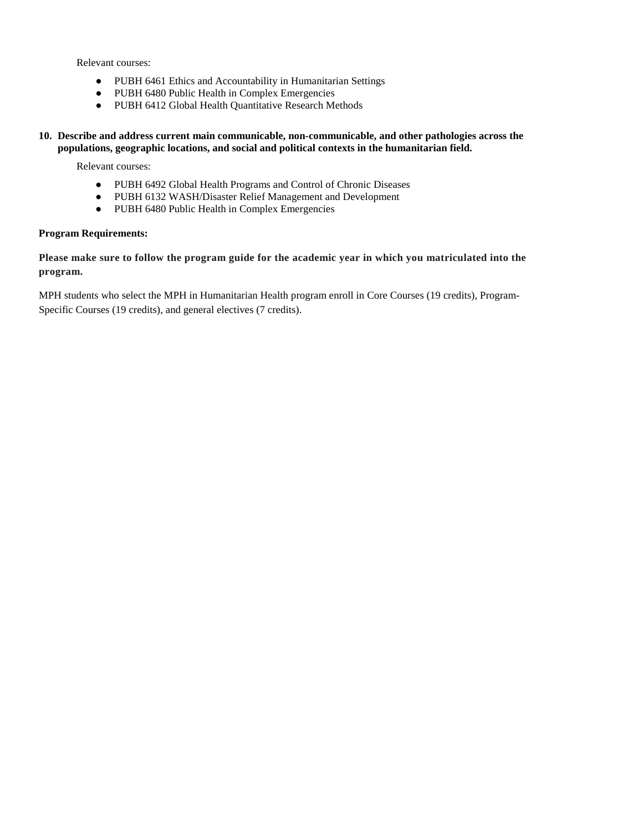Relevant courses:

- PUBH 6461 Ethics and Accountability in Humanitarian Settings
- PUBH 6480 Public Health in Complex Emergencies
- PUBH 6412 Global Health Quantitative Research Methods

**10. Describe and address current main communicable, non-communicable, and other pathologies across the populations, geographic locations, and social and political contexts in the humanitarian field.**

Relevant courses:

- PUBH 6492 Global Health Programs and Control of Chronic Diseases
- PUBH 6132 WASH/Disaster Relief Management and Development
- PUBH 6480 Public Health in Complex Emergencies

#### **Program Requirements:**

**Please make sure to follow the program guide for the academic year in which you matriculated into the program.**

MPH students who select the MPH in Humanitarian Health program enroll in Core Courses (19 credits), Program-Specific Courses (19 credits), and general electives (7 credits).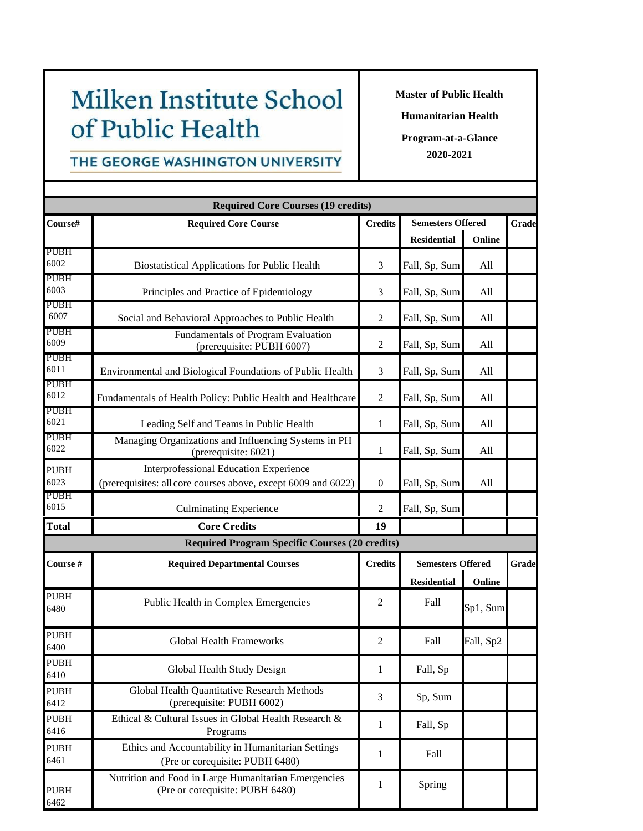# Milken Institute School of Public Health

**Master of Public Health**

**Humanitarian Health**

**Program-at-a-Glance 2020-2021**

## THE GEORGE WASHINGTON UNIVERSITY

|                     | <b>Required Core Courses (19 credits)</b>                                                                      |                  |                                                          |           |       |
|---------------------|----------------------------------------------------------------------------------------------------------------|------------------|----------------------------------------------------------|-----------|-------|
| Course#             | <b>Required Core Course</b>                                                                                    | <b>Credits</b>   | <b>Semesters Offered</b>                                 |           | Grade |
| <b>PUBH</b>         |                                                                                                                |                  | <b>Residential</b>                                       | Online    |       |
| 6002                | <b>Biostatistical Applications for Public Health</b>                                                           | 3                | Fall, Sp, Sum                                            | All       |       |
| <b>PUBH</b><br>6003 | Principles and Practice of Epidemiology                                                                        | 3                | Fall, Sp, Sum                                            | All       |       |
| <b>PUBH</b><br>6007 | Social and Behavioral Approaches to Public Health                                                              | $\overline{2}$   | Fall, Sp, Sum                                            | All       |       |
| PUBH<br>6009        | Fundamentals of Program Evaluation<br>(prerequisite: PUBH 6007)                                                | $\overline{2}$   | Fall, Sp, Sum                                            | All       |       |
| <b>PUBH</b><br>6011 | Environmental and Biological Foundations of Public Health                                                      | 3                | Fall, Sp, Sum                                            | All       |       |
| <b>PUBH</b><br>6012 | Fundamentals of Health Policy: Public Health and Healthcare                                                    | $\overline{2}$   | Fall, Sp, Sum                                            | All       |       |
| <b>PUBH</b><br>6021 | Leading Self and Teams in Public Health                                                                        | $\mathbf{1}$     | Fall, Sp, Sum                                            | All       |       |
| <b>PUBH</b><br>6022 | Managing Organizations and Influencing Systems in PH<br>(prerequisite: 6021)                                   | $\mathbf{1}$     | Fall, Sp, Sum                                            | All       |       |
| <b>PUBH</b><br>6023 | <b>Interprofessional Education Experience</b><br>(prerequisites: all core courses above, except 6009 and 6022) | $\boldsymbol{0}$ | Fall, Sp, Sum                                            | All       |       |
| PUBH<br>6015        | <b>Culminating Experience</b>                                                                                  | $\overline{2}$   | Fall, Sp, Sum                                            |           |       |
| <b>Total</b>        | <b>Core Credits</b>                                                                                            | 19               |                                                          |           |       |
|                     | <b>Required Program Specific Courses (20 credits)</b>                                                          |                  |                                                          |           |       |
| Course #            | <b>Required Departmental Courses</b>                                                                           | <b>Credits</b>   | <b>Semesters Offered</b><br><b>Residential</b><br>Online |           | Grade |
| <b>PUBH</b><br>6480 | Public Health in Complex Emergencies                                                                           | 2                | Fall                                                     | Sp1, Sum  |       |
| <b>PUBH</b><br>6400 | <b>Global Health Frameworks</b>                                                                                | $\mathfrak{2}$   | Fall                                                     | Fall, Sp2 |       |
| <b>PUBH</b><br>6410 | Global Health Study Design                                                                                     | 1                | Fall, Sp                                                 |           |       |
| <b>PUBH</b><br>6412 | Global Health Quantitative Research Methods<br>(prerequisite: PUBH 6002)                                       | 3                | Sp, Sum                                                  |           |       |
| <b>PUBH</b><br>6416 | Ethical & Cultural Issues in Global Health Research &<br>Programs                                              | 1                | Fall, Sp                                                 |           |       |
| <b>PUBH</b><br>6461 | Ethics and Accountability in Humanitarian Settings<br>(Pre or corequisite: PUBH 6480)                          | 1                | Fall                                                     |           |       |
| PUBH<br>6462        | Nutrition and Food in Large Humanitarian Emergencies<br>(Pre or corequisite: PUBH 6480)                        | 1                | Spring                                                   |           |       |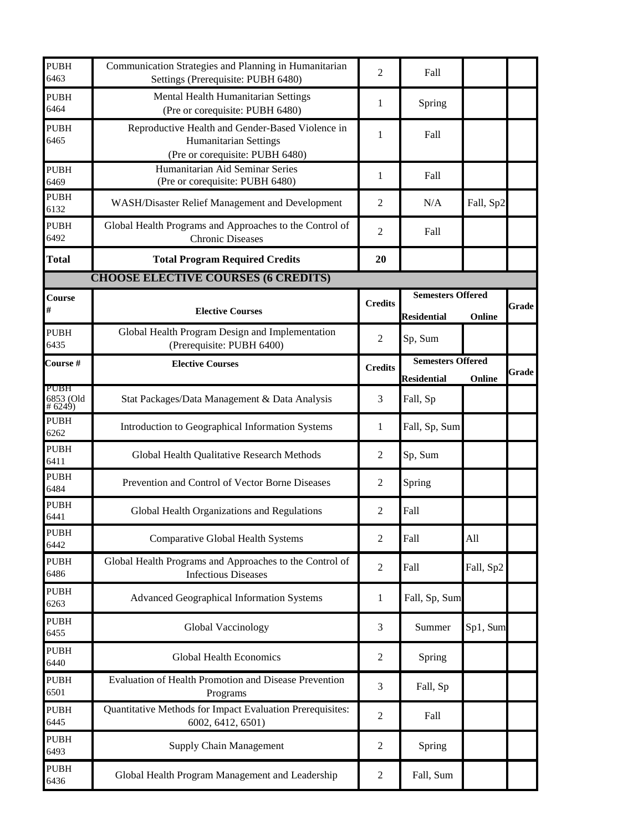| <b>PUBH</b><br>6463         | Communication Strategies and Planning in Humanitarian<br>Settings (Prerequisite: PUBH 6480)                         | $\overline{2}$   | Fall                                                     |           |       |
|-----------------------------|---------------------------------------------------------------------------------------------------------------------|------------------|----------------------------------------------------------|-----------|-------|
| <b>PUBH</b><br>6464         | Mental Health Humanitarian Settings<br>(Pre or corequisite: PUBH 6480)                                              | 1                | Spring                                                   |           |       |
| <b>PUBH</b><br>6465         | Reproductive Health and Gender-Based Violence in<br><b>Humanitarian Settings</b><br>(Pre or corequisite: PUBH 6480) | 1                | Fall                                                     |           |       |
| <b>PUBH</b><br>6469         | Humanitarian Aid Seminar Series<br>(Pre or corequisite: PUBH 6480)                                                  | $\mathbf{1}$     | Fall                                                     |           |       |
| <b>PUBH</b><br>6132         | WASH/Disaster Relief Management and Development                                                                     | $\overline{2}$   | N/A                                                      | Fall, Sp2 |       |
| <b>PUBH</b><br>6492         | Global Health Programs and Approaches to the Control of<br><b>Chronic Diseases</b>                                  | $\mathfrak{2}$   | Fall                                                     |           |       |
| <b>Total</b>                | <b>Total Program Required Credits</b>                                                                               | 20               |                                                          |           |       |
|                             | <b>CHOOSE ELECTIVE COURSES (6 CREDITS)</b>                                                                          |                  |                                                          |           |       |
| Course<br>#                 | <b>Elective Courses</b>                                                                                             | <b>Credits</b>   | <b>Semesters Offered</b><br><b>Residential</b><br>Online |           | Grade |
| <b>PUBH</b><br>6435         | Global Health Program Design and Implementation<br>(Prerequisite: PUBH 6400)                                        | $\overline{2}$   | Sp, Sum                                                  |           |       |
| Course#                     | <b>Elective Courses</b>                                                                                             | <b>Credits</b>   | <b>Semesters Offered</b><br><b>Residential</b>           | Online    | Grade |
| PUBH<br>6853 (Old<br>#6249) | Stat Packages/Data Management & Data Analysis                                                                       | 3                | Fall, Sp                                                 |           |       |
| <b>PUBH</b><br>6262         | Introduction to Geographical Information Systems                                                                    | $\mathbf{1}$     | Fall, Sp, Sum                                            |           |       |
| <b>PUBH</b><br>6411         | Global Health Qualitative Research Methods                                                                          | $\overline{2}$   | Sp, Sum                                                  |           |       |
| <b>PUBH</b><br>6484         | Prevention and Control of Vector Borne Diseases                                                                     | $\overline{2}$   | Spring                                                   |           |       |
| <b>PUBH</b><br>6441         | Global Health Organizations and Regulations                                                                         | 2                | Fall                                                     |           |       |
| <b>PUBH</b><br>6442         | <b>Comparative Global Health Systems</b>                                                                            | $\overline{2}$   | Fall                                                     | All       |       |
| <b>PUBH</b><br>6486         | Global Health Programs and Approaches to the Control of<br><b>Infectious Diseases</b>                               | $\mathbf{2}$     | Fall                                                     | Fall, Sp2 |       |
| <b>PUBH</b><br>6263         | Advanced Geographical Information Systems                                                                           | $\mathbf{1}$     | Fall, Sp, Sum                                            |           |       |
| <b>PUBH</b><br>6455         | Global Vaccinology                                                                                                  | 3                | Summer                                                   | Sp1, Sum  |       |
| <b>PUBH</b><br>6440         | <b>Global Health Economics</b>                                                                                      | $\overline{c}$   | Spring                                                   |           |       |
| <b>PUBH</b><br>6501         | Evaluation of Health Promotion and Disease Prevention<br>Programs                                                   | 3                | Fall, Sp                                                 |           |       |
| <b>PUBH</b><br>6445         | Quantitative Methods for Impact Evaluation Prerequisites:<br>6002, 6412, 6501)                                      | $\overline{2}$   | Fall                                                     |           |       |
| <b>PUBH</b><br>6493         | <b>Supply Chain Management</b>                                                                                      | $\overline{c}$   | Spring                                                   |           |       |
| <b>PUBH</b><br>6436         | Global Health Program Management and Leadership                                                                     | $\boldsymbol{2}$ | Fall, Sum                                                |           |       |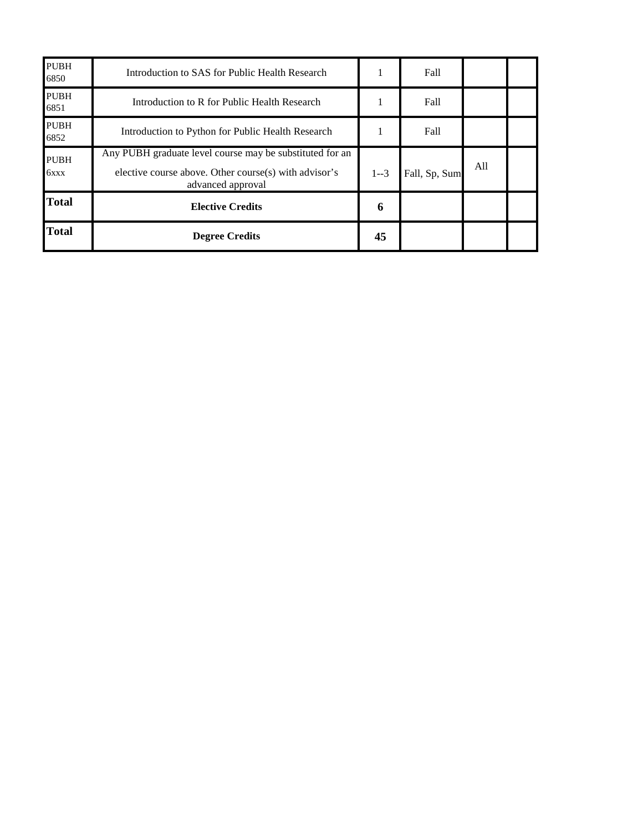| <b>PUBH</b><br>6850 | Introduction to SAS for Public Health Research                                                                                         |         | Fall          |     |  |
|---------------------|----------------------------------------------------------------------------------------------------------------------------------------|---------|---------------|-----|--|
| <b>PUBH</b><br>6851 | Introduction to R for Public Health Research                                                                                           |         | Fall          |     |  |
| <b>PUBH</b><br>6852 | Introduction to Python for Public Health Research                                                                                      |         | Fall          |     |  |
| <b>PUBH</b><br>6xxx | Any PUBH graduate level course may be substituted for an<br>elective course above. Other course(s) with advisor's<br>advanced approval | $1 - 3$ | Fall, Sp, Sum | All |  |
| <b>Total</b>        | <b>Elective Credits</b>                                                                                                                | 6       |               |     |  |
| <b>Total</b>        | <b>Degree Credits</b>                                                                                                                  | 45      |               |     |  |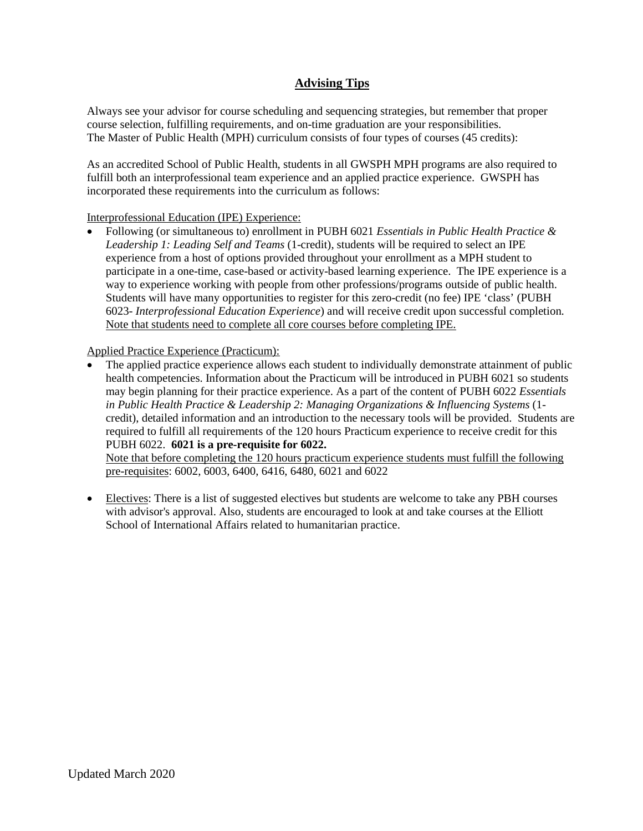## **Advising Tips**

Always see your advisor for course scheduling and sequencing strategies, but remember that proper course selection, fulfilling requirements, and on-time graduation are your responsibilities. The Master of Public Health (MPH) curriculum consists of four types of courses (45 credits):

As an accredited School of Public Health, students in all GWSPH MPH programs are also required to fulfill both an interprofessional team experience and an applied practice experience. GWSPH has incorporated these requirements into the curriculum as follows:

#### Interprofessional Education (IPE) Experience:

• Following (or simultaneous to) enrollment in PUBH 6021 *Essentials in Public Health Practice & Leadership 1: Leading Self and Teams* (1-credit), students will be required to select an IPE experience from a host of options provided throughout your enrollment as a MPH student to participate in a one-time, case-based or activity-based learning experience. The IPE experience is a way to experience working with people from other professions/programs outside of public health. Students will have many opportunities to register for this zero-credit (no fee) IPE 'class' (PUBH 6023- *Interprofessional Education Experience*) and will receive credit upon successful completion. Note that students need to complete all core courses before completing IPE.

#### Applied Practice Experience (Practicum):

• The applied practice experience allows each student to individually demonstrate attainment of public health competencies. Information about the Practicum will be introduced in PUBH 6021 so students may begin planning for their practice experience. As a part of the content of PUBH 6022 *Essentials in Public Health Practice & Leadership 2: Managing Organizations & Influencing Systems* (1 credit), detailed information and an introduction to the necessary tools will be provided. Students are required to fulfill all requirements of the 120 hours Practicum experience to receive credit for this PUBH 6022. **6021 is a pre-requisite for 6022.**

Note that before completing the 120 hours practicum experience students must fulfill the following pre-requisites: 6002, 6003, 6400, 6416, 6480, 6021 and 6022

• Electives: There is a list of suggested electives but students are welcome to take any PBH courses with advisor's approval. Also, students are encouraged to look at and take courses at the Elliott School of International Affairs related to humanitarian practice.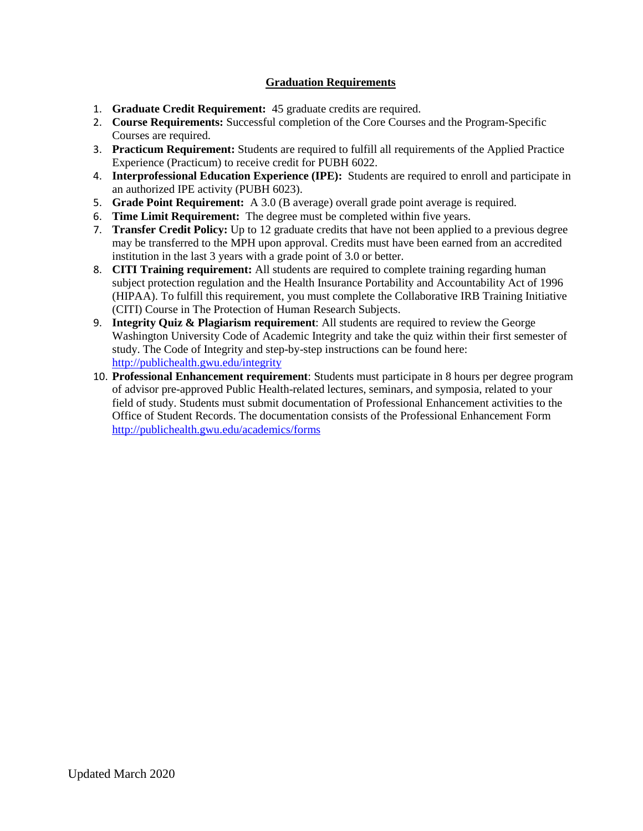#### **Graduation Requirements**

- 1. **Graduate Credit Requirement:** 45 graduate credits are required.
- 2. **Course Requirements:** Successful completion of the Core Courses and the Program-Specific Courses are required.
- 3. **Practicum Requirement:** Students are required to fulfill all requirements of the Applied Practice Experience (Practicum) to receive credit for PUBH 6022.
- 4. **Interprofessional Education Experience (IPE):** Students are required to enroll and participate in an authorized IPE activity (PUBH 6023).
- 5. **Grade Point Requirement:** A 3.0 (B average) overall grade point average is required.
- 6. **Time Limit Requirement:** The degree must be completed within five years.
- 7. **Transfer Credit Policy:** Up to 12 graduate credits that have not been applied to a previous degree may be transferred to the MPH upon approval. Credits must have been earned from an accredited institution in the last 3 years with a grade point of 3.0 or better.
- 8. **CITI Training requirement:** All students are required to complete training regarding human subject protection regulation and the Health Insurance Portability and Accountability Act of 1996 (HIPAA). To fulfill this requirement, you must complete the Collaborative IRB Training Initiative (CITI) Course in The Protection of Human Research Subjects.
- 9. **Integrity Quiz & Plagiarism requirement**: All students are required to review the George Washington University Code of Academic Integrity and take the quiz within their first semester of study. The Code of Integrity and step-by-step instructions can be found here: <http://publichealth.gwu.edu/integrity>
- 10. **Professional Enhancement requirement**: Students must participate in 8 hours per degree program of advisor pre-approved Public Health-related lectures, seminars, and symposia, related to your field of study. Students must submit documentation of Professional Enhancement activities to the Office of Student Records. The documentation consists of the Professional Enhancement Form <http://publichealth.gwu.edu/academics/forms>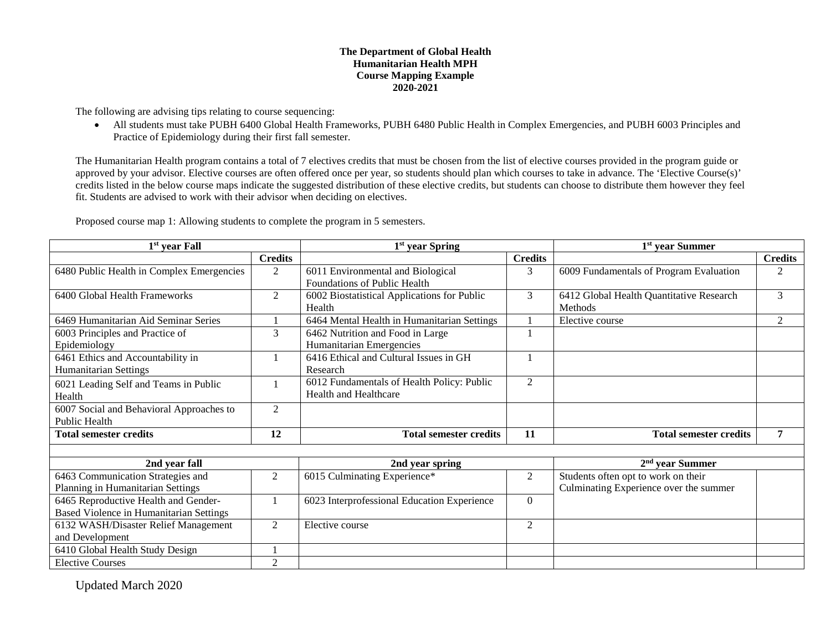#### **The Department of Global Health Humanitarian Health MPH Course Mapping Example 2020-2021**

The following are advising tips relating to course sequencing:

• All students must take PUBH 6400 Global Health Frameworks, PUBH 6480 Public Health in Complex Emergencies, and PUBH 6003 Principles and Practice of Epidemiology during their first fall semester.

The Humanitarian Health program contains a total of 7 electives credits that must be chosen from the list of elective courses provided in the program guide or approved by your advisor. Elective courses are often offered once per year, so students should plan which courses to take in advance. The 'Elective Course(s)' credits listed in the below course maps indicate the suggested distribution of these elective credits, but students can choose to distribute them however they feel fit. Students are advised to work with their advisor when deciding on electives.

| $1st$ year Fall                           |                | $1st$ year Spring                           |                | 1 <sup>st</sup> year Summer              |                |  |
|-------------------------------------------|----------------|---------------------------------------------|----------------|------------------------------------------|----------------|--|
|                                           | <b>Credits</b> |                                             | <b>Credits</b> |                                          | <b>Credits</b> |  |
| 6480 Public Health in Complex Emergencies | $\mathfrak{2}$ | 6011 Environmental and Biological           | 3              | 6009 Fundamentals of Program Evaluation  | 2              |  |
|                                           |                | Foundations of Public Health                |                |                                          |                |  |
| 6400 Global Health Frameworks             | 2              | 6002 Biostatistical Applications for Public | 3              | 6412 Global Health Quantitative Research | 3              |  |
|                                           |                | Health                                      |                | <b>Methods</b>                           |                |  |
| 6469 Humanitarian Aid Seminar Series      |                | 6464 Mental Health in Humanitarian Settings |                | Elective course                          | 2              |  |
| 6003 Principles and Practice of           | 3              | 6462 Nutrition and Food in Large            |                |                                          |                |  |
| Epidemiology                              |                | Humanitarian Emergencies                    |                |                                          |                |  |
| 6461 Ethics and Accountability in         |                | 6416 Ethical and Cultural Issues in GH      |                |                                          |                |  |
| <b>Humanitarian Settings</b>              |                | Research                                    |                |                                          |                |  |
| 6021 Leading Self and Teams in Public     |                | 6012 Fundamentals of Health Policy: Public  | $\mathfrak{2}$ |                                          |                |  |
| Health                                    |                | <b>Health and Healthcare</b>                |                |                                          |                |  |
| 6007 Social and Behavioral Approaches to  | 2              |                                             |                |                                          |                |  |
| <b>Public Health</b>                      |                |                                             |                |                                          |                |  |
| <b>Total semester credits</b>             | 12             | <b>Total semester credits</b>               | 11             | <b>Total semester credits</b>            | $\overline{7}$ |  |
|                                           |                |                                             |                |                                          |                |  |
| 2nd year fall                             |                | 2nd year spring                             |                | $2nd$ year Summer                        |                |  |
| 6463 Communication Strategies and         | $\overline{2}$ | 6015 Culminating Experience*                | $\overline{2}$ | Students often opt to work on their      |                |  |
| Planning in Humanitarian Settings         |                |                                             |                | Culminating Experience over the summer   |                |  |
| 6465 Reproductive Health and Gender-      |                | 6023 Interprofessional Education Experience | $\theta$       |                                          |                |  |
| Based Violence in Humanitarian Settings   |                |                                             |                |                                          |                |  |
| 6132 WASH/Disaster Relief Management      | $\overline{2}$ | Elective course                             | $\overline{2}$ |                                          |                |  |
| and Development                           |                |                                             |                |                                          |                |  |
| 6410 Global Health Study Design           |                |                                             |                |                                          |                |  |
| <b>Elective Courses</b>                   | 2              |                                             |                |                                          |                |  |

Proposed course map 1: Allowing students to complete the program in 5 semesters.

Updated March 2020